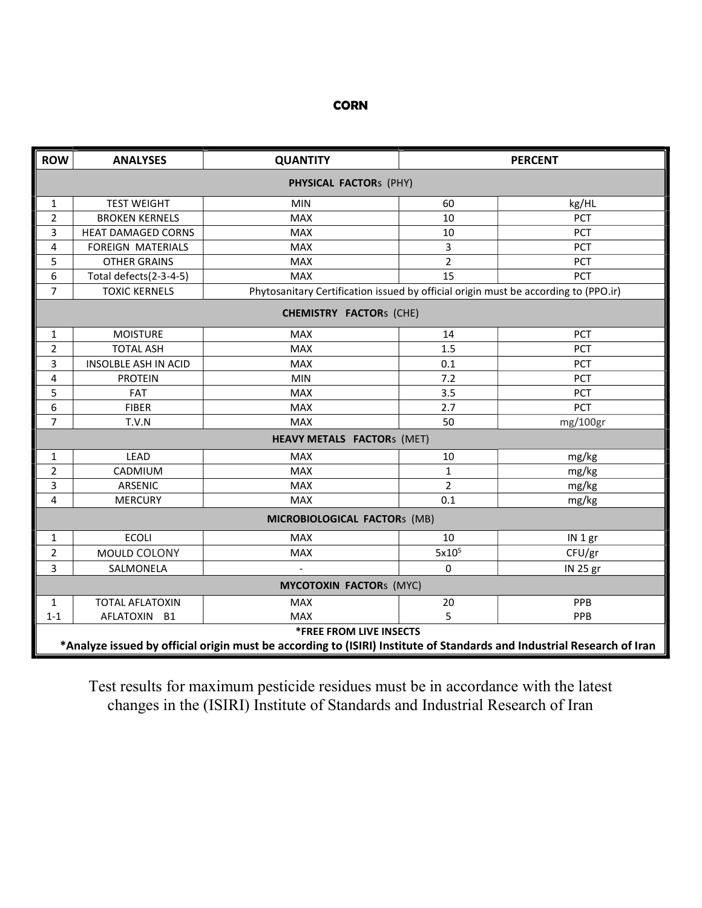## **CORN**

| <b>ROW</b>                        | <b>ANALYSES</b>                                                                                                                                          | <b>QUANTITY</b>                                                                     |                   | <b>PERCENT</b> |  |  |
|-----------------------------------|----------------------------------------------------------------------------------------------------------------------------------------------------------|-------------------------------------------------------------------------------------|-------------------|----------------|--|--|
| PHYSICAL FACTORS (PHY)            |                                                                                                                                                          |                                                                                     |                   |                |  |  |
| 1                                 | <b>TEST WEIGHT</b>                                                                                                                                       | <b>MIN</b>                                                                          | 60                | kg/HL          |  |  |
| $\overline{2}$                    | <b>BROKEN KERNELS</b>                                                                                                                                    | <b>MAX</b>                                                                          | 10                | PCT            |  |  |
| 3                                 | <b>HEAT DAMAGED CORNS</b>                                                                                                                                | <b>MAX</b>                                                                          | 10                | PCT            |  |  |
| 4                                 | FOREIGN MATERIALS                                                                                                                                        | <b>MAX</b>                                                                          | 3                 | PCT            |  |  |
| 5                                 | <b>OTHER GRAINS</b>                                                                                                                                      | <b>MAX</b>                                                                          | $\overline{2}$    | PCT            |  |  |
| 6                                 | Total defects(2-3-4-5)                                                                                                                                   | <b>MAX</b>                                                                          | 15                | PCT            |  |  |
| 7                                 | <b>TOXIC KERNELS</b>                                                                                                                                     | Phytosanitary Certification issued by official origin must be according to (PPO.ir) |                   |                |  |  |
| <b>CHEMISTRY FACTORS (CHE)</b>    |                                                                                                                                                          |                                                                                     |                   |                |  |  |
| 1                                 | <b>MOISTURE</b>                                                                                                                                          | <b>MAX</b>                                                                          | 14                | PCT            |  |  |
| $\overline{2}$                    | <b>TOTAL ASH</b>                                                                                                                                         | <b>MAX</b>                                                                          | 1.5               | PCT            |  |  |
| 3                                 | INSOLBLE ASH IN ACID                                                                                                                                     | <b>MAX</b>                                                                          | 0.1               | PCT            |  |  |
| 4                                 | <b>PROTEIN</b>                                                                                                                                           | MIN                                                                                 | 7.2               | PCT            |  |  |
| 5                                 | <b>FAT</b>                                                                                                                                               | <b>MAX</b>                                                                          | 3.5               | PCT            |  |  |
| 6                                 | <b>FIBER</b>                                                                                                                                             | <b>MAX</b>                                                                          | 2.7               | PCT            |  |  |
| $\overline{7}$                    | T.V.N                                                                                                                                                    | <b>MAX</b>                                                                          | 50                | mg/100gr       |  |  |
| <b>HEAVY METALS FACTORS (MET)</b> |                                                                                                                                                          |                                                                                     |                   |                |  |  |
| 1                                 | LEAD                                                                                                                                                     | <b>MAX</b>                                                                          | 10                | mg/kg          |  |  |
| $\overline{2}$                    | CADMIUM                                                                                                                                                  | <b>MAX</b>                                                                          | $\mathbf{1}$      | mg/kg          |  |  |
| 3                                 | ARSENIC                                                                                                                                                  | <b>MAX</b>                                                                          | $\overline{2}$    | mg/kg          |  |  |
| 4                                 | <b>MERCURY</b>                                                                                                                                           | <b>MAX</b>                                                                          | 0.1               | mg/kg          |  |  |
| MICROBIOLOGICAL FACTORS (MB)      |                                                                                                                                                          |                                                                                     |                   |                |  |  |
| 1                                 | <b>ECOLI</b>                                                                                                                                             | <b>MAX</b>                                                                          | 10                | IN 1 gr        |  |  |
| $\overline{2}$                    | MOULD COLONY                                                                                                                                             | <b>MAX</b>                                                                          | 5x10 <sup>5</sup> | CFU/gr         |  |  |
| $\overline{3}$                    | SALMONELA                                                                                                                                                |                                                                                     | 0                 | IN 25 gr       |  |  |
| <b>MYCOTOXIN FACTORS (MYC)</b>    |                                                                                                                                                          |                                                                                     |                   |                |  |  |
| $\mathbf{1}$                      | <b>TOTAL AFLATOXIN</b>                                                                                                                                   | <b>MAX</b>                                                                          | 20                | PPB            |  |  |
| $1 - 1$                           | AFLATOXIN B1                                                                                                                                             | <b>MAX</b>                                                                          | 5                 | PPB            |  |  |
|                                   | <b>*FREE FROM LIVE INSECTS</b><br>*Analyze issued by official origin must be according to (ISIRI) Institute of Standards and Industrial Research of Iran |                                                                                     |                   |                |  |  |

Test results for maximum pesticide residues must be in accordance with the latest changes in the (ISIRI) Institute of Standards and Industrial Research of Iran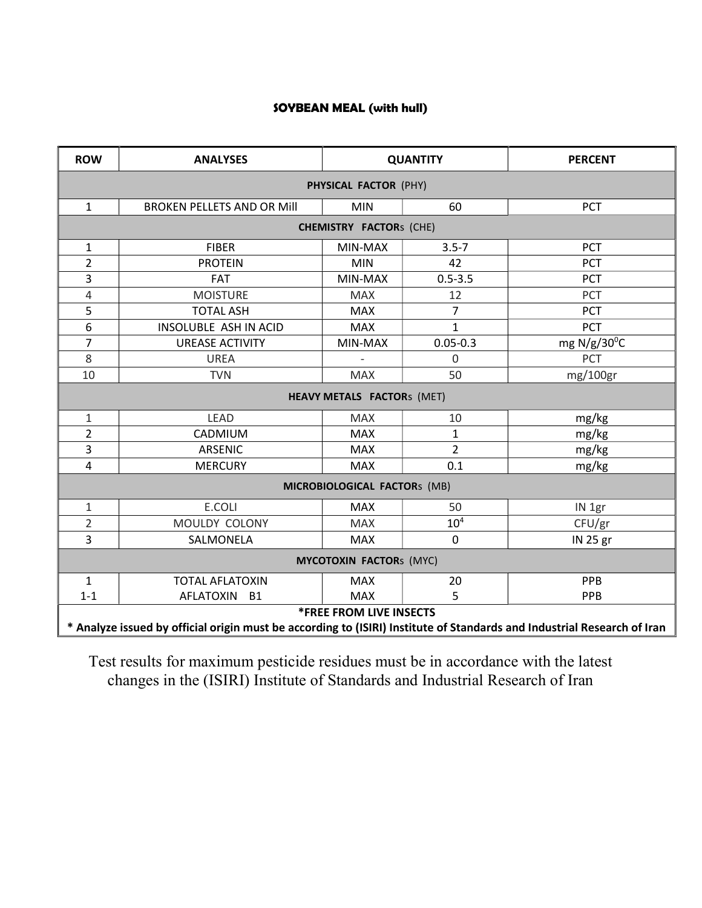## SOYBEAN MEAL (with hull)

| <b>ROW</b>                                                                                                                                                | <b>ANALYSES</b>                   |            | <b>QUANTITY</b> | <b>PERCENT</b>       |  |  |  |  |
|-----------------------------------------------------------------------------------------------------------------------------------------------------------|-----------------------------------|------------|-----------------|----------------------|--|--|--|--|
| PHYSICAL FACTOR (PHY)                                                                                                                                     |                                   |            |                 |                      |  |  |  |  |
| $\mathbf{1}$                                                                                                                                              | <b>BROKEN PELLETS AND OR Mill</b> | <b>MIN</b> | 60              | <b>PCT</b>           |  |  |  |  |
| <b>CHEMISTRY FACTORS (CHE)</b>                                                                                                                            |                                   |            |                 |                      |  |  |  |  |
| 1                                                                                                                                                         | <b>FIBER</b>                      | MIN-MAX    | $3.5 - 7$       | PCT                  |  |  |  |  |
| $\overline{2}$                                                                                                                                            | <b>PROTEIN</b>                    | <b>MIN</b> | 42              | <b>PCT</b>           |  |  |  |  |
| 3                                                                                                                                                         | <b>FAT</b>                        | MIN-MAX    | $0.5 - 3.5$     | PCT                  |  |  |  |  |
| 4                                                                                                                                                         | <b>MOISTURE</b>                   | <b>MAX</b> | 12              | PCT                  |  |  |  |  |
| 5                                                                                                                                                         | <b>TOTAL ASH</b>                  | <b>MAX</b> | $\overline{7}$  | PCT                  |  |  |  |  |
| 6                                                                                                                                                         | INSOLUBLE ASH IN ACID             | <b>MAX</b> | $\mathbf{1}$    | <b>PCT</b>           |  |  |  |  |
| 7                                                                                                                                                         | <b>UREASE ACTIVITY</b>            | MIN-MAX    | $0.05 - 0.3$    | mg $N/g/30^{\circ}C$ |  |  |  |  |
| 8                                                                                                                                                         | <b>UREA</b>                       |            | $\Omega$        | PCT                  |  |  |  |  |
| 10                                                                                                                                                        | <b>TVN</b>                        | <b>MAX</b> | 50              | mg/100gr             |  |  |  |  |
| <b>HEAVY METALS FACTORS (MET)</b>                                                                                                                         |                                   |            |                 |                      |  |  |  |  |
| 1                                                                                                                                                         | <b>LEAD</b>                       | <b>MAX</b> | 10              | mg/kg                |  |  |  |  |
| $\overline{2}$                                                                                                                                            | CADMIUM                           | <b>MAX</b> | $\mathbf{1}$    | mg/kg                |  |  |  |  |
| 3                                                                                                                                                         | <b>ARSENIC</b>                    | <b>MAX</b> | $\overline{2}$  | mg/kg                |  |  |  |  |
| 4                                                                                                                                                         | <b>MERCURY</b>                    | <b>MAX</b> | 0.1             | mg/kg                |  |  |  |  |
| MICROBIOLOGICAL FACTORs (MB)                                                                                                                              |                                   |            |                 |                      |  |  |  |  |
| 1                                                                                                                                                         | E.COLI                            | <b>MAX</b> | 50              | IN 1gr               |  |  |  |  |
| $\overline{2}$                                                                                                                                            | MOULDY COLONY                     | <b>MAX</b> | 10 <sup>4</sup> | CFU/gr               |  |  |  |  |
| 3                                                                                                                                                         | SALMONELA                         | <b>MAX</b> | $\mathbf 0$     | IN 25 gr             |  |  |  |  |
| <b>MYCOTOXIN FACTORS (MYC)</b>                                                                                                                            |                                   |            |                 |                      |  |  |  |  |
| $\mathbf{1}$                                                                                                                                              | <b>TOTAL AFLATOXIN</b>            | <b>MAX</b> | 20              | PPB                  |  |  |  |  |
| $1 - 1$                                                                                                                                                   | <b>AFLATOXIN</b><br><b>B1</b>     | <b>MAX</b> | 5               | PPB                  |  |  |  |  |
| <b>*FREE FROM LIVE INSECTS</b><br>* Analyze issued by official origin must be according to (ISIRI) Institute of Standards and Industrial Research of Iran |                                   |            |                 |                      |  |  |  |  |

Test results for maximum pesticide residues must be in accordance with the latest changes in the (ISIRI) Institute of Standards and Industrial Research of Iran